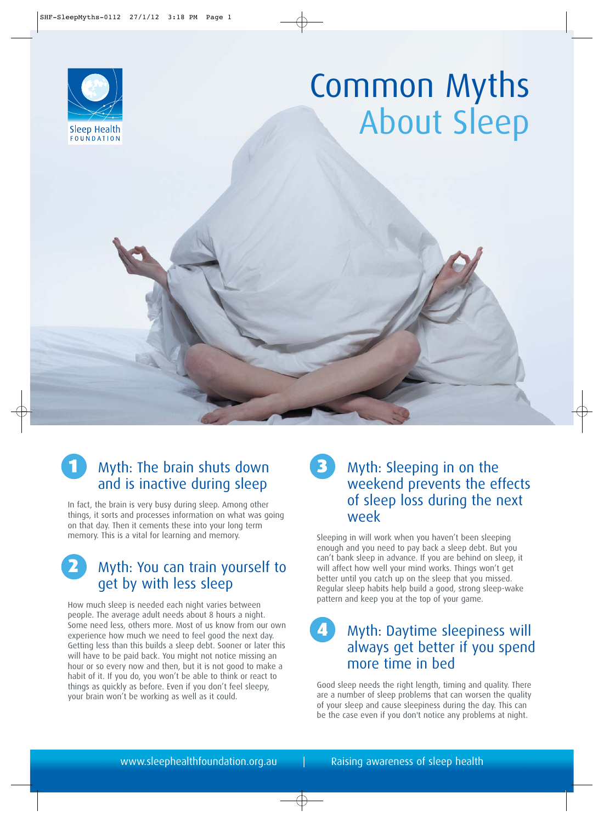

# Common Myths About Sleep

## Myth: The brain shuts down and is inactive during sleep

In fact, the brain is very busy during sleep. Among other things, it sorts and processes information on what was going on that day. Then it cements these into your long term memory. This is a vital for learning and memory.

2 Myth: You can train yourself to get by with less sleep

How much sleep is needed each night varies between people. The average adult needs about 8 hours a night. Some need less, others more. Most of us know from our own experience how much we need to feel good the next day. Getting less than this builds a sleep debt. Sooner or later this will have to be paid back. You might not notice missing an hour or so every now and then, but it is not good to make a habit of it. If you do, you won't be able to think or react to things as quickly as before. Even if you don't feel sleepy, your brain won't be working as well as it could.

#### 3 Myth: Sleeping in on the weekend prevents the effects of sleep loss during the next week

Sleeping in will work when you haven't been sleeping enough and you need to pay back a sleep debt. But you can't bank sleep in advance. If you are behind on sleep, it will affect how well your mind works. Things won't get better until you catch up on the sleep that you missed. Regular sleep habits help build a good, strong sleep-wake pattern and keep you at the top of your game.

#### 4 Myth: Daytime sleepiness will always get better if you spend more time in bed

Good sleep needs the right length, timing and quality. There are a number of sleep problems that can worsen the quality of your sleep and cause sleepiness during the day. This can be the case even if you don't notice any problems at night.